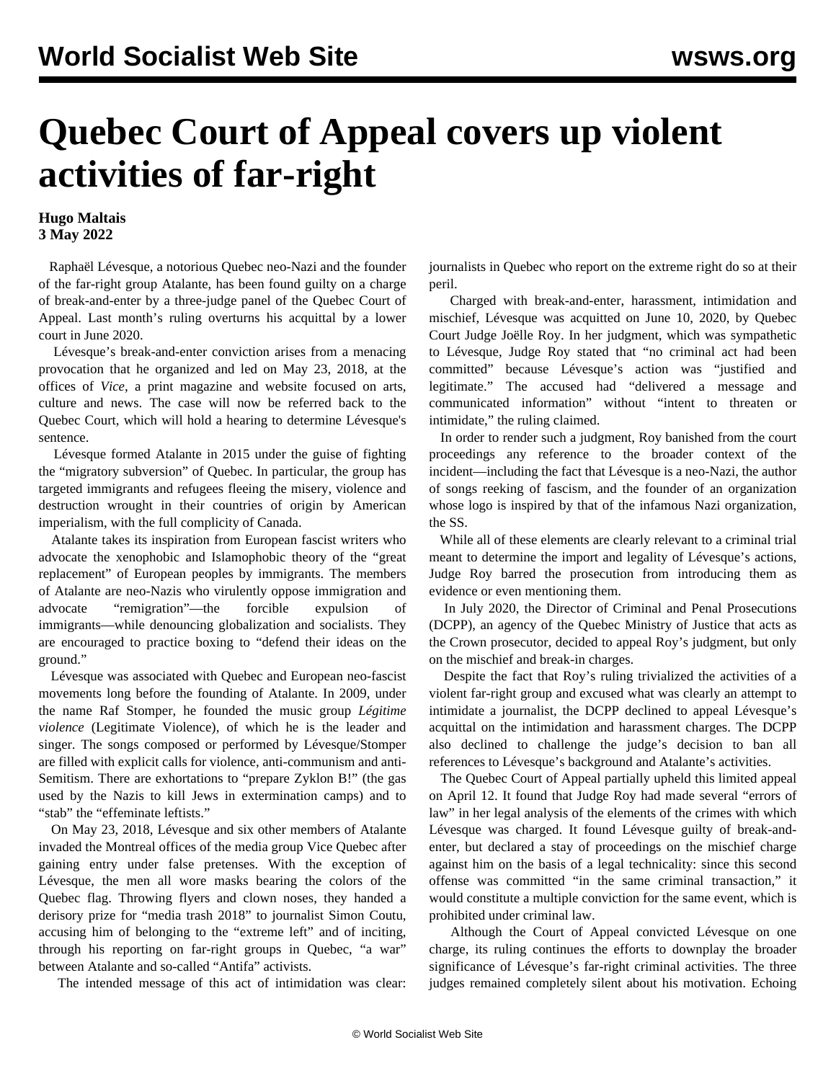## **Quebec Court of Appeal covers up violent activities of far-right**

## **Hugo Maltais 3 May 2022**

 Raphaël Lévesque, a notorious Quebec neo-Nazi and the founder of the far-right group Atalante, has been found guilty on a charge of break-and-enter by a three-judge panel of the Quebec Court of Appeal. Last month's ruling overturns his acquittal by a lower court in June 2020.

 Lévesque's break-and-enter conviction arises from a menacing provocation that he organized and led on May 23, 2018, at the offices of *Vice*, a print magazine and website focused on arts, culture and news. The case will now be referred back to the Quebec Court, which will hold a hearing to determine Lévesque's sentence.

 Lévesque formed Atalante in 2015 under the guise of fighting the "migratory subversion" of Quebec. In particular, the group has targeted immigrants and refugees fleeing the misery, violence and destruction wrought in their countries of origin by American imperialism, with the full complicity of Canada.

 Atalante takes its inspiration from European fascist writers who advocate the xenophobic and Islamophobic theory of the "great replacement" of European peoples by immigrants. The members of Atalante are neo-Nazis who virulently oppose immigration and advocate "remigration"—the forcible expulsion of immigrants—while denouncing globalization and socialists. They are encouraged to practice boxing to "defend their ideas on the ground."

 Lévesque was associated with Quebec and European neo-fascist movements long before the founding of Atalante. In 2009, under the name Raf Stomper, he founded the music group *Légitime violence* (Legitimate Violence), of which he is the leader and singer. The songs composed or performed by Lévesque/Stomper are filled with explicit calls for violence, anti-communism and anti-Semitism. There are exhortations to "prepare Zyklon B!" (the gas used by the Nazis to kill Jews in extermination camps) and to "stab" the "effeminate leftists."

 On May 23, 2018, Lévesque and six other members of Atalante invaded the Montreal offices of the media group Vice Quebec after gaining entry under false pretenses. With the exception of Lévesque, the men all wore masks bearing the colors of the Quebec flag. Throwing flyers and clown noses, they handed a derisory prize for "media trash 2018" to journalist Simon Coutu, accusing him of belonging to the "extreme left" and of inciting, through his reporting on far-right groups in Quebec, "a war" between Atalante and so-called "Antifa" activists.

The intended message of this act of intimidation was clear:

journalists in Quebec who report on the extreme right do so at their peril.

 Charged with break-and-enter, harassment, intimidation and mischief, [Lévesque was acquitted](/en/articles/2020/06/26/atal-j26.html) on June 10, 2020, by Quebec Court Judge Joëlle Roy. In her judgment, which was sympathetic to Lévesque, Judge Roy stated that "no criminal act had been committed" because Lévesque's action was "justified and legitimate." The accused had "delivered a message and communicated information" without "intent to threaten or intimidate," the ruling claimed.

 In order to render such a judgment, Roy banished from the court proceedings any reference to the broader context of the incident—including the fact that Lévesque is a neo-Nazi, the author of songs reeking of fascism, and the founder of an organization whose logo is inspired by that of the infamous Nazi organization, the SS.

 While all of these elements are clearly relevant to a criminal trial meant to determine the import and legality of Lévesque's actions, Judge Roy barred the prosecution from introducing them as evidence or even mentioning them.

 In July 2020, the Director of Criminal and Penal Prosecutions (DCPP), an agency of the Quebec Ministry of Justice that acts as the Crown prosecutor, decided to appeal Roy's judgment, but only on the mischief and break-in charges.

 Despite the fact that Roy's ruling trivialized the activities of a violent far-right group and excused what was clearly an attempt to intimidate a journalist, the DCPP declined to appeal Lévesque's acquittal on the intimidation and harassment charges. The DCPP also declined to challenge the judge's decision to ban all references to Lévesque's background and Atalante's activities.

 The Quebec Court of Appeal partially upheld this limited appeal on April 12. It found that Judge Roy had made several "errors of law" in her legal analysis of the elements of the crimes with which Lévesque was charged. It found Lévesque guilty of break-andenter, but declared a stay of proceedings on the mischief charge against him on the basis of a legal technicality: since this second offense was committed "in the same criminal transaction," it would constitute a multiple conviction for the same event, which is prohibited under criminal law.

 Although the Court of Appeal convicted Lévesque on one charge, its ruling continues the efforts to downplay the broader significance of Lévesque's far-right criminal activities. The three judges remained completely silent about his motivation. Echoing